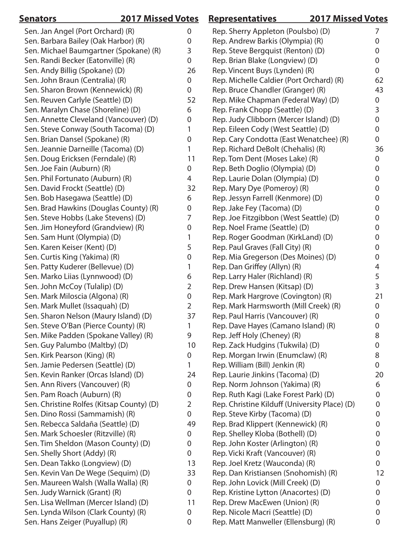| <b>Senators</b>                           | <b>2017 Missed Votes</b> |                  | <b>Representatives</b>                        | <b>2017 Missed Votes</b> |  |
|-------------------------------------------|--------------------------|------------------|-----------------------------------------------|--------------------------|--|
| Sen. Jan Angel (Port Orchard) (R)         |                          | 0                | Rep. Sherry Appleton (Poulsbo) (D)            | 7                        |  |
| Sen. Barbara Bailey (Oak Harbor) (R)      |                          | 0                | Rep. Andrew Barkis (Olympia) (R)              | 0                        |  |
| Sen. Michael Baumgartner (Spokane) (R)    |                          | 3                | Rep. Steve Bergquist (Renton) (D)             | 0                        |  |
| Sen. Randi Becker (Eatonville) (R)        |                          | 0                | Rep. Brian Blake (Longview) (D)               | 0                        |  |
| Sen. Andy Billig (Spokane) (D)            |                          | 26               | Rep. Vincent Buys (Lynden) (R)                | $\mathbf 0$              |  |
| Sen. John Braun (Centralia) (R)           |                          | 0                | Rep. Michelle Caldier (Port Orchard) (R)      | 62                       |  |
| Sen. Sharon Brown (Kennewick) (R)         |                          | $\mathbf 0$      | Rep. Bruce Chandler (Granger) (R)             | 43                       |  |
| Sen. Reuven Carlyle (Seattle) (D)         |                          | 52               | Rep. Mike Chapman (Federal Way) (D)           | $\overline{0}$           |  |
| Sen. Maralyn Chase (Shoreline) (D)        |                          | 6                | Rep. Frank Chopp (Seattle) (D)                | 3                        |  |
| Sen. Annette Cleveland (Vancouver) (D)    |                          | 0                | Rep. Judy Clibborn (Mercer Island) (D)        | $\mathbf 0$              |  |
| Sen. Steve Conway (South Tacoma) (D)      |                          | 1                | Rep. Eileen Cody (West Seattle) (D)           | 0                        |  |
| Sen. Brian Dansel (Spokane) (R)           |                          | 0                | Rep. Cary Condotta (East Wenatchee) (R)       | 0                        |  |
| Sen. Jeannie Darneille (Tacoma) (D)       |                          | 1                | Rep. Richard DeBolt (Chehalis) (R)            | 36                       |  |
| Sen. Doug Ericksen (Ferndale) (R)         |                          | 11               | Rep. Tom Dent (Moses Lake) (R)                | $\overline{0}$           |  |
| Sen. Joe Fain (Auburn) (R)                |                          | $\boldsymbol{0}$ | Rep. Beth Doglio (Olympia) (D)                | $\overline{0}$           |  |
| Sen. Phil Fortunato (Auburn) (R)          |                          | 4                | Rep. Laurie Dolan (Olympia) (D)               | 0                        |  |
| Sen. David Frockt (Seattle) (D)           |                          | 32               | Rep. Mary Dye (Pomeroy) (R)                   | 0                        |  |
| Sen. Bob Hasegawa (Seattle) (D)           |                          | 6                | Rep. Jessyn Farrell (Kenmore) (D)             | 0                        |  |
| Sen. Brad Hawkins (Douglas County) (R)    |                          | 0                | Rep. Jake Fey (Tacoma) (D)                    | 0                        |  |
| Sen. Steve Hobbs (Lake Stevens) (D)       |                          | 7                | Rep. Joe Fitzgibbon (West Seattle) (D)        | 0                        |  |
| Sen. Jim Honeyford (Grandview) (R)        |                          | 0                | Rep. Noel Frame (Seattle) (D)                 | 0                        |  |
| Sen. Sam Hunt (Olympia) (D)               |                          | 1                | Rep. Roger Goodman (KirkLand) (D)             | 0                        |  |
| Sen. Karen Keiser (Kent) (D)              |                          | 5                | Rep. Paul Graves (Fall City) (R)              | 0                        |  |
| Sen. Curtis King (Yakima) (R)             |                          | 0                | Rep. Mia Gregerson (Des Moines) (D)           | 0                        |  |
| Sen. Patty Kuderer (Bellevue) (D)         |                          | 1                | Rep. Dan Griffey (Allyn) (R)                  | 4                        |  |
| Sen. Marko Liias (Lynnwood) (D)           |                          | 6                | Rep. Larry Haler (Richland) (R)               | 5                        |  |
| Sen. John McCoy (Tulalip) (D)             |                          | 2                | Rep. Drew Hansen (Kitsap) (D)                 | 3                        |  |
| Sen. Mark Miloscia (Algona) (R)           |                          | $\boldsymbol{0}$ | Rep. Mark Hargrove (Covington) (R)            | 21                       |  |
| Sen. Mark Mullet (Issaquah) (D)           |                          | 2                | Rep. Mark Harmsworth (Mill Creek) (R)         | $\overline{0}$           |  |
| Sen. Sharon Nelson (Maury Island) (D)     |                          | 37               | Rep. Paul Harris (Vancouver) (R)              | $\mathbf 0$              |  |
| Sen. Steve O'Ban (Pierce County) (R)      |                          | 1                | Rep. Dave Hayes (Camano Island) (R)           | $\overline{0}$           |  |
| Sen. Mike Padden (Spokane Valley) (R)     |                          | 9                | Rep. Jeff Holy (Cheney) (R)                   | 8                        |  |
| Sen. Guy Palumbo (Maltby) (D)             |                          | 10               | Rep. Zack Hudgins (Tukwila) (D)               | 0                        |  |
| Sen. Kirk Pearson (King) (R)              |                          | 0                | Rep. Morgan Irwin (Enumclaw) (R)              | 8                        |  |
| Sen. Jamie Pedersen (Seattle) (D)         |                          | 1                | Rep. William (Bill) Jenkin (R)                | $\overline{0}$           |  |
| Sen. Kevin Ranker (Orcas Island) (D)      |                          | 24               | Rep. Laurie Jinkins (Tacoma) (D)              | 20                       |  |
| Sen. Ann Rivers (Vancouver) (R)           |                          | 0                | Rep. Norm Johnson (Yakima) (R)                | 6                        |  |
| Sen. Pam Roach (Auburn) (R)               |                          | 0                | Rep. Ruth Kagi (Lake Forest Park) (D)         | 0                        |  |
| Sen. Christine Rolfes (Kitsap County) (D) |                          | 2                | Rep. Christine Kilduff (University Place) (D) | 0                        |  |
| Sen. Dino Rossi (Sammamish) (R)           |                          | $\mathbf 0$      | Rep. Steve Kirby (Tacoma) (D)                 | $\pmb{0}$                |  |
| Sen. Rebecca Saldaña (Seattle) (D)        |                          | 49               | Rep. Brad Klippert (Kennewick) (R)            | 0                        |  |
| Sen. Mark Schoesler (Ritzville) (R)       |                          | 0                | Rep. Shelley Kloba (Bothell) (D)              | 0                        |  |
| Sen. Tim Sheldon (Mason County) (D)       |                          | 0                | Rep. John Koster (Arlington) (R)              | 0                        |  |
| Sen. Shelly Short (Addy) (R)              |                          | $\overline{0}$   | Rep. Vicki Kraft (Vancouver) (R)              | 0                        |  |
| Sen. Dean Takko (Longview) (D)            |                          | 13               | Rep. Joel Kretz (Wauconda) (R)                | $\boldsymbol{0}$         |  |
| Sen. Kevin Van De Wege (Sequim) (D)       |                          | 33               | Rep. Dan Kristiansen (Snohomish) (R)          | 12                       |  |
| Sen. Maureen Walsh (Walla Walla) (R)      |                          | 0                | Rep. John Lovick (Mill Creek) (D)             | 0                        |  |
| Sen. Judy Warnick (Grant) (R)             |                          | $\overline{0}$   | Rep. Kristine Lytton (Anacortes) (D)          | 0                        |  |
| Sen. Lisa Wellman (Mercer Island) (D)     |                          | 11               | Rep. Drew MacEwen (Union) (R)                 | 0                        |  |
| Sen. Lynda Wilson (Clark County) (R)      |                          | $\overline{0}$   | Rep. Nicole Macri (Seattle) (D)               | 0                        |  |
| Sen. Hans Zeiger (Puyallup) (R)           |                          | 0                | Rep. Matt Manweller (Ellensburg) (R)          | 0                        |  |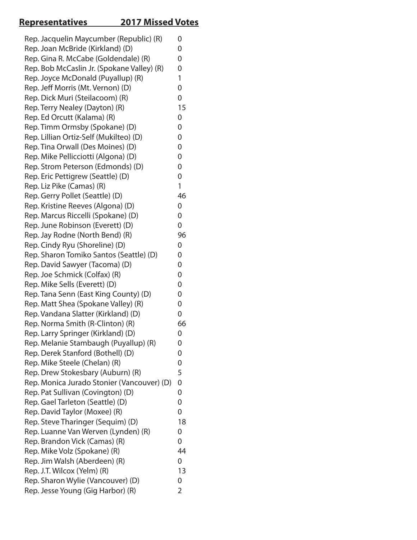# **Representatives 2017 Missed Votes**

| Rep. Joan McBride (Kirkland) (D)<br>Rep. Gina R. McCabe (Goldendale) (R)<br>Rep. Bob McCaslin Jr. (Spokane Valley) (R)<br>Rep. Joyce McDonald (Puyallup) (R)<br>Rep. Jeff Morris (Mt. Vernon) (D)<br>Rep. Dick Muri (Steilacoom) (R)<br>Rep. Terry Nealey (Dayton) (R)<br>Rep. Ed Orcutt (Kalama) (R)<br>Rep. Timm Ormsby (Spokane) (D)<br>Rep. Lillian Ortiz-Self (Mukilteo) (D)<br>Rep. Tina Orwall (Des Moines) (D)<br>Rep. Mike Pellicciotti (Algona) (D)<br>Rep. Strom Peterson (Edmonds) (D)<br>Rep. Eric Pettigrew (Seattle) (D)<br>Rep. Liz Pike (Camas) (R)<br>Rep. Gerry Pollet (Seattle) (D)<br>Rep. Kristine Reeves (Algona) (D)<br>Rep. Marcus Riccelli (Spokane) (D)<br>Rep. June Robinson (Everett) (D)<br>Rep. Jay Rodne (North Bend) (R)<br>Rep. Cindy Ryu (Shoreline) (D)<br>Rep. Sharon Tomiko Santos (Seattle) (D)<br>Rep. David Sawyer (Tacoma) (D)<br>Rep. Joe Schmick (Colfax) (R)<br>Rep. Mike Sells (Everett) (D)<br>Rep. Tana Senn (East King County) (D)<br>Rep. Matt Shea (Spokane Valley) (R)<br>Rep. Vandana Slatter (Kirkland) (D)<br>Rep. Norma Smith (R-Clinton) (R)<br>Rep. Larry Springer (Kirkland) (D)<br>Rep. Melanie Stambaugh (Puyallup) (R)<br>Rep. Derek Stanford (Bothell) (D)<br>Rep. Mike Steele (Chelan) (R)<br>Rep. Drew Stokesbary (Auburn) (R)<br>Rep. Monica Jurado Stonier (Vancouver) (D)<br>Rep. Pat Sullivan (Covington) (D)<br>Rep. Gael Tarleton (Seattle) (D)<br>Rep. David Taylor (Moxee) (R)<br>Rep. Steve Tharinger (Sequim) (D)<br>Rep. Luanne Van Werven (Lynden) (R)<br>Rep. Brandon Vick (Camas) (R)<br>Rep. Mike Volz (Spokane) (R)<br>Rep. Jim Walsh (Aberdeen) (R)<br>Rep. J.T. Wilcox (Yelm) (R)<br>Rep. Sharon Wylie (Vancouver) (D)<br>Rep. Jesse Young (Gig Harbor) (R) | Rep. Jacquelin Maycumber (Republic) (R) | 0  |
|------------------------------------------------------------------------------------------------------------------------------------------------------------------------------------------------------------------------------------------------------------------------------------------------------------------------------------------------------------------------------------------------------------------------------------------------------------------------------------------------------------------------------------------------------------------------------------------------------------------------------------------------------------------------------------------------------------------------------------------------------------------------------------------------------------------------------------------------------------------------------------------------------------------------------------------------------------------------------------------------------------------------------------------------------------------------------------------------------------------------------------------------------------------------------------------------------------------------------------------------------------------------------------------------------------------------------------------------------------------------------------------------------------------------------------------------------------------------------------------------------------------------------------------------------------------------------------------------------------------------------------------------------------------------------------------------------------------------------------------------|-----------------------------------------|----|
|                                                                                                                                                                                                                                                                                                                                                                                                                                                                                                                                                                                                                                                                                                                                                                                                                                                                                                                                                                                                                                                                                                                                                                                                                                                                                                                                                                                                                                                                                                                                                                                                                                                                                                                                                |                                         | 0  |
|                                                                                                                                                                                                                                                                                                                                                                                                                                                                                                                                                                                                                                                                                                                                                                                                                                                                                                                                                                                                                                                                                                                                                                                                                                                                                                                                                                                                                                                                                                                                                                                                                                                                                                                                                |                                         | 0  |
|                                                                                                                                                                                                                                                                                                                                                                                                                                                                                                                                                                                                                                                                                                                                                                                                                                                                                                                                                                                                                                                                                                                                                                                                                                                                                                                                                                                                                                                                                                                                                                                                                                                                                                                                                |                                         | 0  |
|                                                                                                                                                                                                                                                                                                                                                                                                                                                                                                                                                                                                                                                                                                                                                                                                                                                                                                                                                                                                                                                                                                                                                                                                                                                                                                                                                                                                                                                                                                                                                                                                                                                                                                                                                |                                         | 1  |
|                                                                                                                                                                                                                                                                                                                                                                                                                                                                                                                                                                                                                                                                                                                                                                                                                                                                                                                                                                                                                                                                                                                                                                                                                                                                                                                                                                                                                                                                                                                                                                                                                                                                                                                                                |                                         | 0  |
|                                                                                                                                                                                                                                                                                                                                                                                                                                                                                                                                                                                                                                                                                                                                                                                                                                                                                                                                                                                                                                                                                                                                                                                                                                                                                                                                                                                                                                                                                                                                                                                                                                                                                                                                                |                                         | 0  |
|                                                                                                                                                                                                                                                                                                                                                                                                                                                                                                                                                                                                                                                                                                                                                                                                                                                                                                                                                                                                                                                                                                                                                                                                                                                                                                                                                                                                                                                                                                                                                                                                                                                                                                                                                |                                         | 15 |
|                                                                                                                                                                                                                                                                                                                                                                                                                                                                                                                                                                                                                                                                                                                                                                                                                                                                                                                                                                                                                                                                                                                                                                                                                                                                                                                                                                                                                                                                                                                                                                                                                                                                                                                                                |                                         | 0  |
|                                                                                                                                                                                                                                                                                                                                                                                                                                                                                                                                                                                                                                                                                                                                                                                                                                                                                                                                                                                                                                                                                                                                                                                                                                                                                                                                                                                                                                                                                                                                                                                                                                                                                                                                                |                                         | 0  |
|                                                                                                                                                                                                                                                                                                                                                                                                                                                                                                                                                                                                                                                                                                                                                                                                                                                                                                                                                                                                                                                                                                                                                                                                                                                                                                                                                                                                                                                                                                                                                                                                                                                                                                                                                |                                         | 0  |
|                                                                                                                                                                                                                                                                                                                                                                                                                                                                                                                                                                                                                                                                                                                                                                                                                                                                                                                                                                                                                                                                                                                                                                                                                                                                                                                                                                                                                                                                                                                                                                                                                                                                                                                                                |                                         | 0  |
|                                                                                                                                                                                                                                                                                                                                                                                                                                                                                                                                                                                                                                                                                                                                                                                                                                                                                                                                                                                                                                                                                                                                                                                                                                                                                                                                                                                                                                                                                                                                                                                                                                                                                                                                                |                                         | 0  |
|                                                                                                                                                                                                                                                                                                                                                                                                                                                                                                                                                                                                                                                                                                                                                                                                                                                                                                                                                                                                                                                                                                                                                                                                                                                                                                                                                                                                                                                                                                                                                                                                                                                                                                                                                |                                         | 0  |
|                                                                                                                                                                                                                                                                                                                                                                                                                                                                                                                                                                                                                                                                                                                                                                                                                                                                                                                                                                                                                                                                                                                                                                                                                                                                                                                                                                                                                                                                                                                                                                                                                                                                                                                                                |                                         | 0  |
|                                                                                                                                                                                                                                                                                                                                                                                                                                                                                                                                                                                                                                                                                                                                                                                                                                                                                                                                                                                                                                                                                                                                                                                                                                                                                                                                                                                                                                                                                                                                                                                                                                                                                                                                                |                                         | 1  |
|                                                                                                                                                                                                                                                                                                                                                                                                                                                                                                                                                                                                                                                                                                                                                                                                                                                                                                                                                                                                                                                                                                                                                                                                                                                                                                                                                                                                                                                                                                                                                                                                                                                                                                                                                |                                         | 46 |
|                                                                                                                                                                                                                                                                                                                                                                                                                                                                                                                                                                                                                                                                                                                                                                                                                                                                                                                                                                                                                                                                                                                                                                                                                                                                                                                                                                                                                                                                                                                                                                                                                                                                                                                                                |                                         | 0  |
|                                                                                                                                                                                                                                                                                                                                                                                                                                                                                                                                                                                                                                                                                                                                                                                                                                                                                                                                                                                                                                                                                                                                                                                                                                                                                                                                                                                                                                                                                                                                                                                                                                                                                                                                                |                                         | 0  |
|                                                                                                                                                                                                                                                                                                                                                                                                                                                                                                                                                                                                                                                                                                                                                                                                                                                                                                                                                                                                                                                                                                                                                                                                                                                                                                                                                                                                                                                                                                                                                                                                                                                                                                                                                |                                         | 0  |
|                                                                                                                                                                                                                                                                                                                                                                                                                                                                                                                                                                                                                                                                                                                                                                                                                                                                                                                                                                                                                                                                                                                                                                                                                                                                                                                                                                                                                                                                                                                                                                                                                                                                                                                                                |                                         | 96 |
|                                                                                                                                                                                                                                                                                                                                                                                                                                                                                                                                                                                                                                                                                                                                                                                                                                                                                                                                                                                                                                                                                                                                                                                                                                                                                                                                                                                                                                                                                                                                                                                                                                                                                                                                                |                                         | 0  |
|                                                                                                                                                                                                                                                                                                                                                                                                                                                                                                                                                                                                                                                                                                                                                                                                                                                                                                                                                                                                                                                                                                                                                                                                                                                                                                                                                                                                                                                                                                                                                                                                                                                                                                                                                |                                         | 0  |
|                                                                                                                                                                                                                                                                                                                                                                                                                                                                                                                                                                                                                                                                                                                                                                                                                                                                                                                                                                                                                                                                                                                                                                                                                                                                                                                                                                                                                                                                                                                                                                                                                                                                                                                                                |                                         | 0  |
|                                                                                                                                                                                                                                                                                                                                                                                                                                                                                                                                                                                                                                                                                                                                                                                                                                                                                                                                                                                                                                                                                                                                                                                                                                                                                                                                                                                                                                                                                                                                                                                                                                                                                                                                                |                                         | 0  |
|                                                                                                                                                                                                                                                                                                                                                                                                                                                                                                                                                                                                                                                                                                                                                                                                                                                                                                                                                                                                                                                                                                                                                                                                                                                                                                                                                                                                                                                                                                                                                                                                                                                                                                                                                |                                         | 0  |
|                                                                                                                                                                                                                                                                                                                                                                                                                                                                                                                                                                                                                                                                                                                                                                                                                                                                                                                                                                                                                                                                                                                                                                                                                                                                                                                                                                                                                                                                                                                                                                                                                                                                                                                                                |                                         | 0  |
|                                                                                                                                                                                                                                                                                                                                                                                                                                                                                                                                                                                                                                                                                                                                                                                                                                                                                                                                                                                                                                                                                                                                                                                                                                                                                                                                                                                                                                                                                                                                                                                                                                                                                                                                                |                                         | 0  |
|                                                                                                                                                                                                                                                                                                                                                                                                                                                                                                                                                                                                                                                                                                                                                                                                                                                                                                                                                                                                                                                                                                                                                                                                                                                                                                                                                                                                                                                                                                                                                                                                                                                                                                                                                |                                         | 0  |
|                                                                                                                                                                                                                                                                                                                                                                                                                                                                                                                                                                                                                                                                                                                                                                                                                                                                                                                                                                                                                                                                                                                                                                                                                                                                                                                                                                                                                                                                                                                                                                                                                                                                                                                                                |                                         | 66 |
|                                                                                                                                                                                                                                                                                                                                                                                                                                                                                                                                                                                                                                                                                                                                                                                                                                                                                                                                                                                                                                                                                                                                                                                                                                                                                                                                                                                                                                                                                                                                                                                                                                                                                                                                                |                                         | 0  |
|                                                                                                                                                                                                                                                                                                                                                                                                                                                                                                                                                                                                                                                                                                                                                                                                                                                                                                                                                                                                                                                                                                                                                                                                                                                                                                                                                                                                                                                                                                                                                                                                                                                                                                                                                |                                         | 0  |
|                                                                                                                                                                                                                                                                                                                                                                                                                                                                                                                                                                                                                                                                                                                                                                                                                                                                                                                                                                                                                                                                                                                                                                                                                                                                                                                                                                                                                                                                                                                                                                                                                                                                                                                                                |                                         | 0  |
|                                                                                                                                                                                                                                                                                                                                                                                                                                                                                                                                                                                                                                                                                                                                                                                                                                                                                                                                                                                                                                                                                                                                                                                                                                                                                                                                                                                                                                                                                                                                                                                                                                                                                                                                                |                                         | 0  |
|                                                                                                                                                                                                                                                                                                                                                                                                                                                                                                                                                                                                                                                                                                                                                                                                                                                                                                                                                                                                                                                                                                                                                                                                                                                                                                                                                                                                                                                                                                                                                                                                                                                                                                                                                |                                         | 5  |
|                                                                                                                                                                                                                                                                                                                                                                                                                                                                                                                                                                                                                                                                                                                                                                                                                                                                                                                                                                                                                                                                                                                                                                                                                                                                                                                                                                                                                                                                                                                                                                                                                                                                                                                                                |                                         | 0  |
|                                                                                                                                                                                                                                                                                                                                                                                                                                                                                                                                                                                                                                                                                                                                                                                                                                                                                                                                                                                                                                                                                                                                                                                                                                                                                                                                                                                                                                                                                                                                                                                                                                                                                                                                                |                                         | 0  |
|                                                                                                                                                                                                                                                                                                                                                                                                                                                                                                                                                                                                                                                                                                                                                                                                                                                                                                                                                                                                                                                                                                                                                                                                                                                                                                                                                                                                                                                                                                                                                                                                                                                                                                                                                |                                         | 0  |
|                                                                                                                                                                                                                                                                                                                                                                                                                                                                                                                                                                                                                                                                                                                                                                                                                                                                                                                                                                                                                                                                                                                                                                                                                                                                                                                                                                                                                                                                                                                                                                                                                                                                                                                                                |                                         | 0  |
|                                                                                                                                                                                                                                                                                                                                                                                                                                                                                                                                                                                                                                                                                                                                                                                                                                                                                                                                                                                                                                                                                                                                                                                                                                                                                                                                                                                                                                                                                                                                                                                                                                                                                                                                                |                                         | 18 |
|                                                                                                                                                                                                                                                                                                                                                                                                                                                                                                                                                                                                                                                                                                                                                                                                                                                                                                                                                                                                                                                                                                                                                                                                                                                                                                                                                                                                                                                                                                                                                                                                                                                                                                                                                |                                         | 0  |
|                                                                                                                                                                                                                                                                                                                                                                                                                                                                                                                                                                                                                                                                                                                                                                                                                                                                                                                                                                                                                                                                                                                                                                                                                                                                                                                                                                                                                                                                                                                                                                                                                                                                                                                                                |                                         | 0  |
|                                                                                                                                                                                                                                                                                                                                                                                                                                                                                                                                                                                                                                                                                                                                                                                                                                                                                                                                                                                                                                                                                                                                                                                                                                                                                                                                                                                                                                                                                                                                                                                                                                                                                                                                                |                                         | 44 |
|                                                                                                                                                                                                                                                                                                                                                                                                                                                                                                                                                                                                                                                                                                                                                                                                                                                                                                                                                                                                                                                                                                                                                                                                                                                                                                                                                                                                                                                                                                                                                                                                                                                                                                                                                |                                         | 0  |
|                                                                                                                                                                                                                                                                                                                                                                                                                                                                                                                                                                                                                                                                                                                                                                                                                                                                                                                                                                                                                                                                                                                                                                                                                                                                                                                                                                                                                                                                                                                                                                                                                                                                                                                                                |                                         | 13 |
|                                                                                                                                                                                                                                                                                                                                                                                                                                                                                                                                                                                                                                                                                                                                                                                                                                                                                                                                                                                                                                                                                                                                                                                                                                                                                                                                                                                                                                                                                                                                                                                                                                                                                                                                                |                                         | 0  |
|                                                                                                                                                                                                                                                                                                                                                                                                                                                                                                                                                                                                                                                                                                                                                                                                                                                                                                                                                                                                                                                                                                                                                                                                                                                                                                                                                                                                                                                                                                                                                                                                                                                                                                                                                |                                         | 2  |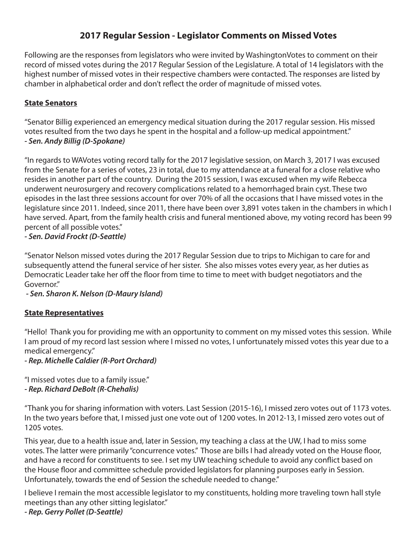## **2017 Regular Session - Legislator Comments on Missed Votes**

Following are the responses from legislators who were invited by WashingtonVotes to comment on their record of missed votes during the 2017 Regular Session of the Legislature. A total of 14 legislators with the highest number of missed votes in their respective chambers were contacted. The responses are listed by chamber in alphabetical order and don't reflect the order of magnitude of missed votes.

#### **State Senators**

"Senator Billig experienced an emergency medical situation during the 2017 regular session. His missed votes resulted from the two days he spent in the hospital and a follow-up medical appointment." *- Sen. Andy Billig (D-Spokane)*

"In regards to WAVotes voting record tally for the 2017 legislative session, on March 3, 2017 I was excused from the Senate for a series of votes, 23 in total, due to my attendance at a funeral for a close relative who resides in another part of the country. During the 2015 session, I was excused when my wife Rebecca underwent neurosurgery and recovery complications related to a hemorrhaged brain cyst. These two episodes in the last three sessions account for over 70% of all the occasions that I have missed votes in the legislature since 2011. Indeed, since 2011, there have been over 3,891 votes taken in the chambers in which I have served. Apart, from the family health crisis and funeral mentioned above, my voting record has been 99 percent of all possible votes."

*- Sen. David Frockt (D-Seattle)*

"Senator Nelson missed votes during the 2017 Regular Session due to trips to Michigan to care for and subsequently attend the funeral service of her sister. She also misses votes every year, as her duties as Democratic Leader take her off the floor from time to time to meet with budget negotiators and the Governor."

 *- Sen. Sharon K. Nelson (D-Maury Island)*

#### **State Representatives**

"Hello! Thank you for providing me with an opportunity to comment on my missed votes this session. While I am proud of my record last session where I missed no votes, I unfortunately missed votes this year due to a medical emergency."

*- Rep. Michelle Caldier (R-Port Orchard)*

"I missed votes due to a family issue." *- Rep. Richard DeBolt (R-Chehalis)*

"Thank you for sharing information with voters. Last Session (2015-16), I missed zero votes out of 1173 votes. In the two years before that, I missed just one vote out of 1200 votes. In 2012-13, I missed zero votes out of 1205 votes.

This year, due to a health issue and, later in Session, my teaching a class at the UW, I had to miss some votes. The latter were primarily "concurrence votes." Those are bills I had already voted on the House floor, and have a record for constituents to see. I set my UW teaching schedule to avoid any conflict based on the House floor and committee schedule provided legislators for planning purposes early in Session. Unfortunately, towards the end of Session the schedule needed to change."

I believe I remain the most accessible legislator to my constituents, holding more traveling town hall style meetings than any other sitting legislator."

#### *- Rep. Gerry Pollet (D-Seattle)*